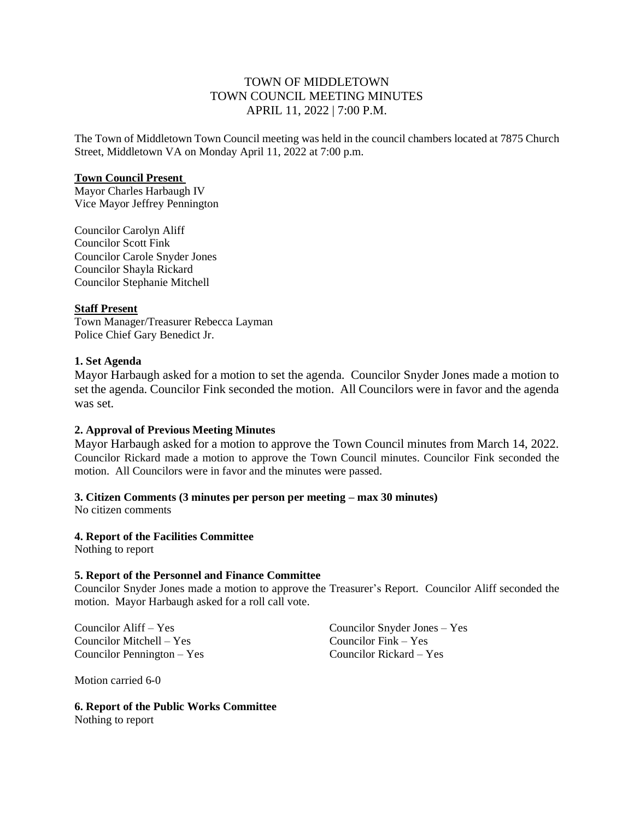## TOWN OF MIDDLETOWN TOWN COUNCIL MEETING MINUTES APRIL 11, 2022 | 7:00 P.M.

The Town of Middletown Town Council meeting was held in the council chambers located at 7875 Church Street, Middletown VA on Monday April 11, 2022 at 7:00 p.m.

#### **Town Council Present**

Mayor Charles Harbaugh IV Vice Mayor Jeffrey Pennington

Councilor Carolyn Aliff Councilor Scott Fink Councilor Carole Snyder Jones Councilor Shayla Rickard Councilor Stephanie Mitchell

## **Staff Present**

Town Manager/Treasurer Rebecca Layman Police Chief Gary Benedict Jr.

## **1. Set Agenda**

Mayor Harbaugh asked for a motion to set the agenda. Councilor Snyder Jones made a motion to set the agenda. Councilor Fink seconded the motion. All Councilors were in favor and the agenda was set.

## **2. Approval of Previous Meeting Minutes**

Mayor Harbaugh asked for a motion to approve the Town Council minutes from March 14, 2022. Councilor Rickard made a motion to approve the Town Council minutes. Councilor Fink seconded the motion. All Councilors were in favor and the minutes were passed.

## **3. Citizen Comments (3 minutes per person per meeting – max 30 minutes)**

No citizen comments

## **4. Report of the Facilities Committee**

Nothing to report

## **5. Report of the Personnel and Finance Committee**

Councilor Snyder Jones made a motion to approve the Treasurer's Report. Councilor Aliff seconded the motion. Mayor Harbaugh asked for a roll call vote.

Councilor Mitchell – Yes Councilor Fink – Yes Councilor Pennington – Yes Councilor Rickard – Yes

Councilor Aliff – Yes Councilor Snyder Jones – Yes

Motion carried 6-0

**6. Report of the Public Works Committee** Nothing to report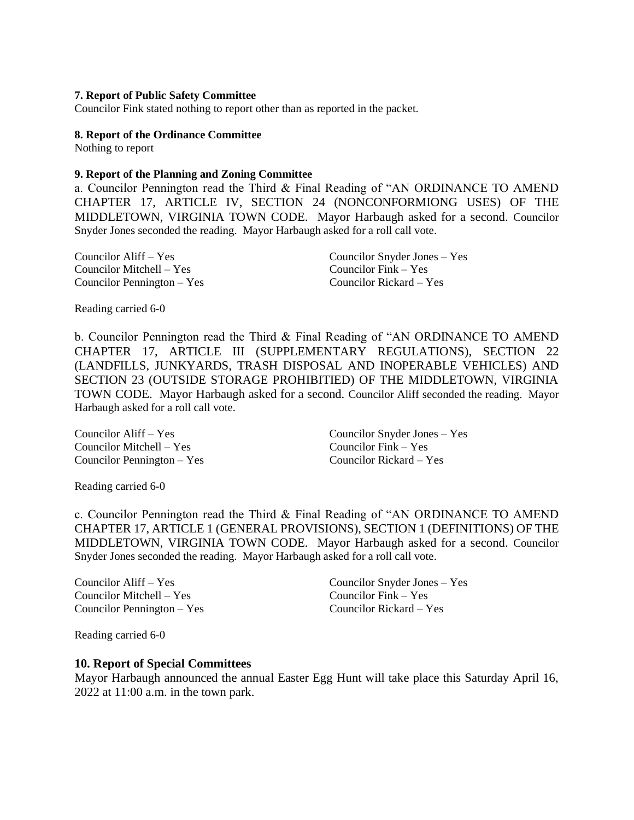#### **7. Report of Public Safety Committee**

Councilor Fink stated nothing to report other than as reported in the packet.

#### **8. Report of the Ordinance Committee**

Nothing to report

#### **9. Report of the Planning and Zoning Committee**

a. Councilor Pennington read the Third & Final Reading of "AN ORDINANCE TO AMEND CHAPTER 17, ARTICLE IV, SECTION 24 (NONCONFORMIONG USES) OF THE MIDDLETOWN, VIRGINIA TOWN CODE. Mayor Harbaugh asked for a second. Councilor Snyder Jones seconded the reading. Mayor Harbaugh asked for a roll call vote.

| Councilor $\text{Aliff} - \text{Yes}$ | Councilor Snyder Jones $-$ Yes |
|---------------------------------------|--------------------------------|
| Councilor Mitchell $-$ Yes            | Councilor $Fink - Yes$         |
| Councilor Pennington $-$ Yes          | Councilor Rickard $-$ Yes      |

Reading carried 6-0

b. Councilor Pennington read the Third & Final Reading of "AN ORDINANCE TO AMEND CHAPTER 17, ARTICLE III (SUPPLEMENTARY REGULATIONS), SECTION 22 (LANDFILLS, JUNKYARDS, TRASH DISPOSAL AND INOPERABLE VEHICLES) AND SECTION 23 (OUTSIDE STORAGE PROHIBITIED) OF THE MIDDLETOWN, VIRGINIA TOWN CODE. Mayor Harbaugh asked for a second. Councilor Aliff seconded the reading. Mayor Harbaugh asked for a roll call vote.

Councilor Mitchell – Yes Councilor Fink – Yes Councilor Pennington – Yes Councilor Rickard – Yes

Councilor Aliff – Yes Councilor Snyder Jones – Yes

Reading carried 6-0

c. Councilor Pennington read the Third & Final Reading of "AN ORDINANCE TO AMEND CHAPTER 17, ARTICLE 1 (GENERAL PROVISIONS), SECTION 1 (DEFINITIONS) OF THE MIDDLETOWN, VIRGINIA TOWN CODE. Mayor Harbaugh asked for a second. Councilor Snyder Jones seconded the reading. Mayor Harbaugh asked for a roll call vote.

Councilor Aliff – Yes Councilor Snyder Jones – Yes Councilor Mitchell – Yes Councilor Fink – Yes Councilor Pennington – Yes Councilor Rickard – Yes

Reading carried 6-0

### **10. Report of Special Committees**

Mayor Harbaugh announced the annual Easter Egg Hunt will take place this Saturday April 16, 2022 at 11:00 a.m. in the town park.